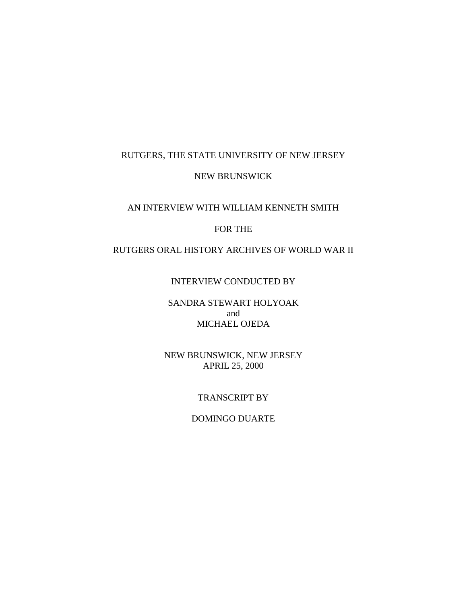# RUTGERS, THE STATE UNIVERSITY OF NEW JERSEY

## NEW BRUNSWICK

## AN INTERVIEW WITH WILLIAM KENNETH SMITH

## FOR THE

# RUTGERS ORAL HISTORY ARCHIVES OF WORLD WAR II

#### INTERVIEW CONDUCTED BY

## SANDRA STEWART HOLYOAK and MICHAEL OJEDA

## NEW BRUNSWICK, NEW JERSEY APRIL 25, 2000

## TRANSCRIPT BY

## DOMINGO DUARTE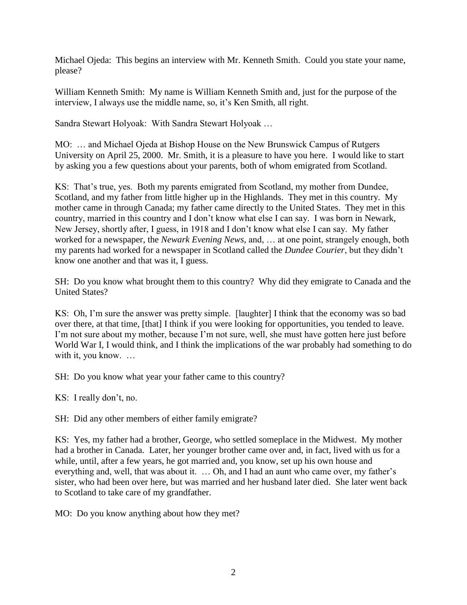Michael Ojeda: This begins an interview with Mr. Kenneth Smith. Could you state your name, please?

William Kenneth Smith: My name is William Kenneth Smith and, just for the purpose of the interview, I always use the middle name, so, it's Ken Smith, all right.

Sandra Stewart Holyoak: With Sandra Stewart Holyoak …

MO: … and Michael Ojeda at Bishop House on the New Brunswick Campus of Rutgers University on April 25, 2000. Mr. Smith, it is a pleasure to have you here. I would like to start by asking you a few questions about your parents, both of whom emigrated from Scotland.

KS: That's true, yes. Both my parents emigrated from Scotland, my mother from Dundee, Scotland, and my father from little higher up in the Highlands. They met in this country. My mother came in through Canada; my father came directly to the United States. They met in this country, married in this country and I don't know what else I can say. I was born in Newark, New Jersey, shortly after, I guess, in 1918 and I don't know what else I can say. My father worked for a newspaper, the *Newark Evening News,* and, … at one point, strangely enough, both my parents had worked for a newspaper in Scotland called the *Dundee Courier*, but they didn't know one another and that was it, I guess.

SH: Do you know what brought them to this country? Why did they emigrate to Canada and the United States?

KS: Oh, I'm sure the answer was pretty simple. [laughter] I think that the economy was so bad over there, at that time, [that] I think if you were looking for opportunities, you tended to leave. I'm not sure about my mother, because I'm not sure, well, she must have gotten here just before World War I, I would think, and I think the implications of the war probably had something to do with it, you know. ...

SH: Do you know what year your father came to this country?

KS: I really don't, no.

SH: Did any other members of either family emigrate?

KS: Yes, my father had a brother, George, who settled someplace in the Midwest. My mother had a brother in Canada. Later, her younger brother came over and, in fact, lived with us for a while, until, after a few years, he got married and, you know, set up his own house and everything and, well, that was about it. … Oh, and I had an aunt who came over, my father's sister, who had been over here, but was married and her husband later died. She later went back to Scotland to take care of my grandfather.

MO: Do you know anything about how they met?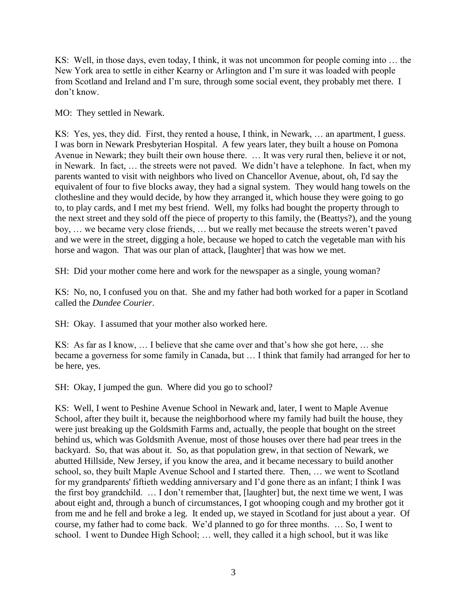KS: Well, in those days, even today, I think, it was not uncommon for people coming into … the New York area to settle in either Kearny or Arlington and I'm sure it was loaded with people from Scotland and Ireland and I'm sure, through some social event, they probably met there. I don't know.

MO: They settled in Newark.

KS: Yes, yes, they did. First, they rented a house, I think, in Newark, … an apartment, I guess. I was born in Newark Presbyterian Hospital. A few years later, they built a house on Pomona Avenue in Newark; they built their own house there. … It was very rural then, believe it or not, in Newark. In fact, … the streets were not paved. We didn't have a telephone. In fact, when my parents wanted to visit with neighbors who lived on Chancellor Avenue, about, oh, I'd say the equivalent of four to five blocks away, they had a signal system. They would hang towels on the clothesline and they would decide, by how they arranged it, which house they were going to go to, to play cards, and I met my best friend. Well, my folks had bought the property through to the next street and they sold off the piece of property to this family, the (Beattys?), and the young boy, … we became very close friends, … but we really met because the streets weren't paved and we were in the street, digging a hole, because we hoped to catch the vegetable man with his horse and wagon. That was our plan of attack, [laughter] that was how we met.

SH: Did your mother come here and work for the newspaper as a single, young woman?

KS: No, no, I confused you on that. She and my father had both worked for a paper in Scotland called the *Dundee Courier*.

SH: Okay. I assumed that your mother also worked here.

KS: As far as I know, … I believe that she came over and that's how she got here, … she became a governess for some family in Canada, but … I think that family had arranged for her to be here, yes.

SH: Okay, I jumped the gun. Where did you go to school?

KS: Well, I went to Peshine Avenue School in Newark and, later, I went to Maple Avenue School, after they built it, because the neighborhood where my family had built the house, they were just breaking up the Goldsmith Farms and, actually, the people that bought on the street behind us, which was Goldsmith Avenue, most of those houses over there had pear trees in the backyard. So, that was about it. So, as that population grew, in that section of Newark, we abutted Hillside, New Jersey, if you know the area, and it became necessary to build another school, so, they built Maple Avenue School and I started there. Then, … we went to Scotland for my grandparents' fiftieth wedding anniversary and I'd gone there as an infant; I think I was the first boy grandchild. … I don't remember that, [laughter] but, the next time we went, I was about eight and, through a bunch of circumstances, I got whooping cough and my brother got it from me and he fell and broke a leg. It ended up, we stayed in Scotland for just about a year. Of course, my father had to come back. We'd planned to go for three months. … So, I went to school. I went to Dundee High School; … well, they called it a high school, but it was like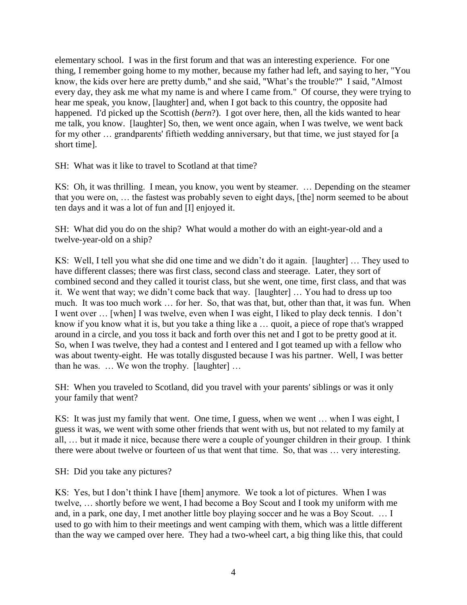elementary school. I was in the first forum and that was an interesting experience. For one thing, I remember going home to my mother, because my father had left, and saying to her, "You know, the kids over here are pretty dumb," and she said, "What's the trouble?" I said, "Almost every day, they ask me what my name is and where I came from." Of course, they were trying to hear me speak, you know, [laughter] and, when I got back to this country, the opposite had happened. I'd picked up the Scottish (*bern*?). I got over here, then, all the kids wanted to hear me talk, you know. [laughter] So, then, we went once again, when I was twelve, we went back for my other … grandparents' fiftieth wedding anniversary, but that time, we just stayed for [a short time].

SH: What was it like to travel to Scotland at that time?

KS: Oh, it was thrilling. I mean, you know, you went by steamer. … Depending on the steamer that you were on, … the fastest was probably seven to eight days, [the] norm seemed to be about ten days and it was a lot of fun and [I] enjoyed it.

SH: What did you do on the ship? What would a mother do with an eight-year-old and a twelve-year-old on a ship?

KS: Well, I tell you what she did one time and we didn't do it again. [laughter] … They used to have different classes; there was first class, second class and steerage. Later, they sort of combined second and they called it tourist class, but she went, one time, first class, and that was it. We went that way; we didn't come back that way. [laughter] … You had to dress up too much. It was too much work … for her. So, that was that, but, other than that, it was fun. When I went over … [when] I was twelve, even when I was eight, I liked to play deck tennis. I don't know if you know what it is, but you take a thing like a … quoit, a piece of rope that's wrapped around in a circle, and you toss it back and forth over this net and I got to be pretty good at it. So, when I was twelve, they had a contest and I entered and I got teamed up with a fellow who was about twenty-eight. He was totally disgusted because I was his partner. Well, I was better than he was. … We won the trophy. [laughter] …

SH: When you traveled to Scotland, did you travel with your parents' siblings or was it only your family that went?

KS: It was just my family that went. One time, I guess, when we went … when I was eight, I guess it was, we went with some other friends that went with us, but not related to my family at all, … but it made it nice, because there were a couple of younger children in their group. I think there were about twelve or fourteen of us that went that time. So, that was … very interesting.

SH: Did you take any pictures?

KS: Yes, but I don't think I have [them] anymore. We took a lot of pictures. When I was twelve, … shortly before we went, I had become a Boy Scout and I took my uniform with me and, in a park, one day, I met another little boy playing soccer and he was a Boy Scout. … I used to go with him to their meetings and went camping with them, which was a little different than the way we camped over here. They had a two-wheel cart, a big thing like this, that could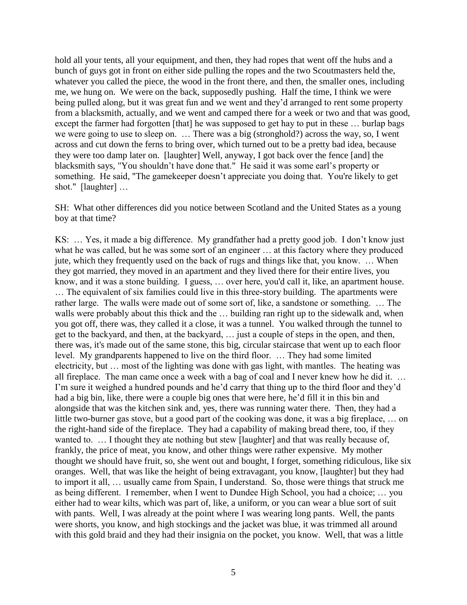hold all your tents, all your equipment, and then, they had ropes that went off the hubs and a bunch of guys got in front on either side pulling the ropes and the two Scoutmasters held the, whatever you called the piece, the wood in the front there, and then, the smaller ones, including me, we hung on. We were on the back, supposedly pushing. Half the time, I think we were being pulled along, but it was great fun and we went and they'd arranged to rent some property from a blacksmith, actually, and we went and camped there for a week or two and that was good, except the farmer had forgotten [that] he was supposed to get hay to put in these ... burlap bags we were going to use to sleep on. … There was a big (stronghold?) across the way, so, I went across and cut down the ferns to bring over, which turned out to be a pretty bad idea, because they were too damp later on. [laughter] Well, anyway, I got back over the fence [and] the blacksmith says, "You shouldn't have done that." He said it was some earl's property or something. He said, "The gamekeeper doesn't appreciate you doing that. You're likely to get shot." [laughter] …

SH: What other differences did you notice between Scotland and the United States as a young boy at that time?

KS: … Yes, it made a big difference. My grandfather had a pretty good job. I don't know just what he was called, but he was some sort of an engineer … at this factory where they produced jute, which they frequently used on the back of rugs and things like that, you know. … When they got married, they moved in an apartment and they lived there for their entire lives, you know, and it was a stone building. I guess, … over here, you'd call it, like, an apartment house. … The equivalent of six families could live in this three-story building. The apartments were rather large. The walls were made out of some sort of, like, a sandstone or something. … The walls were probably about this thick and the ... building ran right up to the sidewalk and, when you got off, there was, they called it a close, it was a tunnel. You walked through the tunnel to get to the backyard, and then, at the backyard, … just a couple of steps in the open, and then, there was, it's made out of the same stone, this big, circular staircase that went up to each floor level. My grandparents happened to live on the third floor. … They had some limited electricity, but … most of the lighting was done with gas light, with mantles. The heating was all fireplace. The man came once a week with a bag of coal and I never knew how he did it. … I'm sure it weighed a hundred pounds and he'd carry that thing up to the third floor and they'd had a big bin, like, there were a couple big ones that were here, he'd fill it in this bin and alongside that was the kitchen sink and, yes, there was running water there. Then, they had a little two-burner gas stove, but a good part of the cooking was done, it was a big fireplace, … on the right-hand side of the fireplace. They had a capability of making bread there, too, if they wanted to. … I thought they ate nothing but stew [laughter] and that was really because of, frankly, the price of meat, you know, and other things were rather expensive. My mother thought we should have fruit, so, she went out and bought, I forget, something ridiculous, like six oranges. Well, that was like the height of being extravagant, you know, [laughter] but they had to import it all, … usually came from Spain, I understand. So, those were things that struck me as being different. I remember, when I went to Dundee High School, you had a choice; … you either had to wear kilts, which was part of, like, a uniform, or you can wear a blue sort of suit with pants. Well, I was already at the point where I was wearing long pants. Well, the pants were shorts, you know, and high stockings and the jacket was blue, it was trimmed all around with this gold braid and they had their insignia on the pocket, you know. Well, that was a little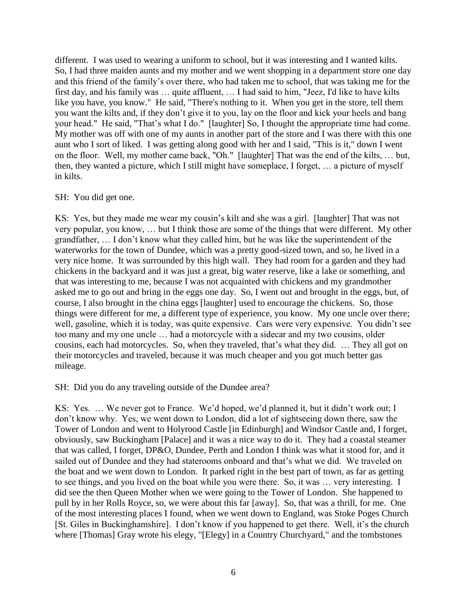different. I was used to wearing a uniform to school, but it was interesting and I wanted kilts. So, I had three maiden aunts and my mother and we went shopping in a department store one day and this friend of the family's over there, who had taken me to school, that was taking me for the first day, and his family was … quite affluent, … I had said to him, "Jeez, I'd like to have kilts like you have, you know." He said, "There's nothing to it. When you get in the store, tell them you want the kilts and, if they don't give it to you, lay on the floor and kick your heels and bang your head." He said, "That's what I do." [laughter] So, I thought the appropriate time had come. My mother was off with one of my aunts in another part of the store and I was there with this one aunt who I sort of liked. I was getting along good with her and I said, "This is it," down I went on the floor. Well, my mother came back, "Oh." [laughter] That was the end of the kilts, … but, then, they wanted a picture, which I still might have someplace, I forget, … a picture of myself in kilts.

## SH: You did get one.

KS: Yes, but they made me wear my cousin's kilt and she was a girl. [laughter] That was not very popular, you know, … but I think those are some of the things that were different. My other grandfather, … I don't know what they called him, but he was like the superintendent of the waterworks for the town of Dundee, which was a pretty good-sized town, and so, he lived in a very nice home. It was surrounded by this high wall. They had room for a garden and they had chickens in the backyard and it was just a great, big water reserve, like a lake or something, and that was interesting to me, because I was not acquainted with chickens and my grandmother asked me to go out and bring in the eggs one day. So, I went out and brought in the eggs, but, of course, I also brought in the china eggs [laughter] used to encourage the chickens. So, those things were different for me, a different type of experience, you know. My one uncle over there; well, gasoline, which it is today, was quite expensive. Cars were very expensive. You didn't see too many and my one uncle … had a motorcycle with a sidecar and my two cousins, older cousins, each had motorcycles. So, when they traveled, that's what they did. … They all got on their motorcycles and traveled, because it was much cheaper and you got much better gas mileage.

SH: Did you do any traveling outside of the Dundee area?

KS: Yes. … We never got to France. We'd hoped, we'd planned it, but it didn't work out; I don't know why. Yes, we went down to London, did a lot of sightseeing down there, saw the Tower of London and went to Holyrood Castle [in Edinburgh] and Windsor Castle and, I forget, obviously, saw Buckingham [Palace] and it was a nice way to do it. They had a coastal steamer that was called, I forget, DP&O, Dundee, Perth and London I think was what it stood for, and it sailed out of Dundee and they had staterooms onboard and that's what we did. We traveled on the boat and we went down to London. It parked right in the best part of town, as far as getting to see things, and you lived on the boat while you were there. So, it was … very interesting. I did see the then Queen Mother when we were going to the Tower of London. She happened to pull by in her Rolls Royce, so, we were about this far [away]. So, that was a thrill, for me. One of the most interesting places I found, when we went down to England, was Stoke Poges Church [St. Giles in Buckinghamshire]. I don't know if you happened to get there. Well, it's the church where [Thomas] Gray wrote his elegy, "[Elegy] in a Country Churchyard," and the tombstones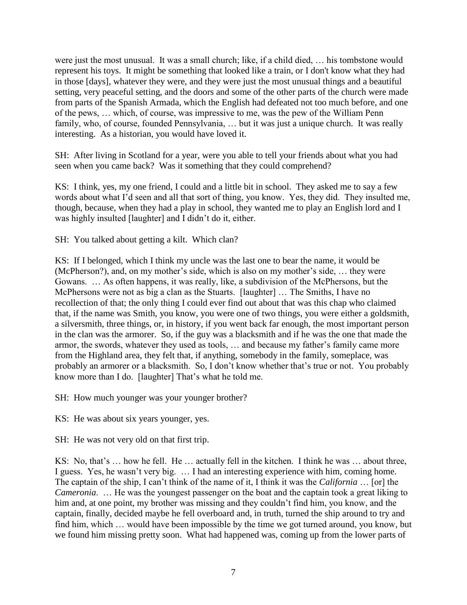were just the most unusual. It was a small church; like, if a child died, … his tombstone would represent his toys. It might be something that looked like a train, or I don't know what they had in those [days], whatever they were, and they were just the most unusual things and a beautiful setting, very peaceful setting, and the doors and some of the other parts of the church were made from parts of the Spanish Armada, which the English had defeated not too much before, and one of the pews, … which, of course, was impressive to me, was the pew of the William Penn family, who, of course, founded Pennsylvania, ... but it was just a unique church. It was really interesting. As a historian, you would have loved it.

SH: After living in Scotland for a year, were you able to tell your friends about what you had seen when you came back? Was it something that they could comprehend?

KS: I think, yes, my one friend, I could and a little bit in school. They asked me to say a few words about what I'd seen and all that sort of thing, you know. Yes, they did. They insulted me, though, because, when they had a play in school, they wanted me to play an English lord and I was highly insulted [laughter] and I didn't do it, either.

SH: You talked about getting a kilt. Which clan?

KS: If I belonged, which I think my uncle was the last one to bear the name, it would be (McPherson?), and, on my mother's side, which is also on my mother's side, … they were Gowans. … As often happens, it was really, like, a subdivision of the McPhersons, but the McPhersons were not as big a clan as the Stuarts. [laughter] … The Smiths, I have no recollection of that; the only thing I could ever find out about that was this chap who claimed that, if the name was Smith, you know, you were one of two things, you were either a goldsmith, a silversmith, three things, or, in history, if you went back far enough, the most important person in the clan was the armorer. So, if the guy was a blacksmith and if he was the one that made the armor, the swords, whatever they used as tools, … and because my father's family came more from the Highland area, they felt that, if anything, somebody in the family, someplace, was probably an armorer or a blacksmith. So, I don't know whether that's true or not. You probably know more than I do. [laughter] That's what he told me.

SH: How much younger was your younger brother?

KS: He was about six years younger, yes.

SH: He was not very old on that first trip.

KS: No, that's … how he fell. He … actually fell in the kitchen. I think he was … about three, I guess. Yes, he wasn't very big. … I had an interesting experience with him, coming home. The captain of the ship, I can't think of the name of it, I think it was the *California* … [or] the *Cameronia*. … He was the youngest passenger on the boat and the captain took a great liking to him and, at one point, my brother was missing and they couldn't find him, you know, and the captain, finally, decided maybe he fell overboard and, in truth, turned the ship around to try and find him, which … would have been impossible by the time we got turned around, you know, but we found him missing pretty soon. What had happened was, coming up from the lower parts of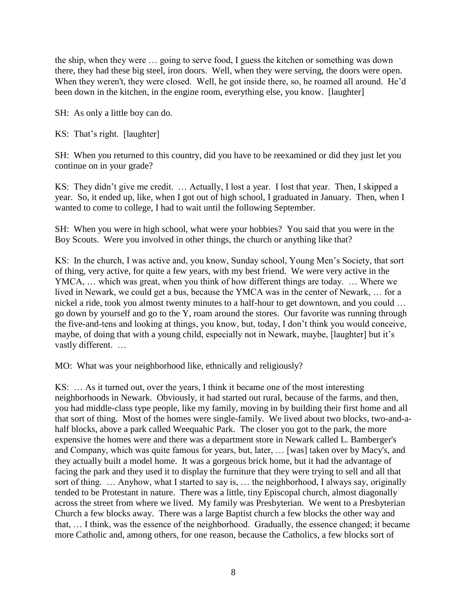the ship, when they were … going to serve food, I guess the kitchen or something was down there, they had these big steel, iron doors. Well, when they were serving, the doors were open. When they weren't, they were closed. Well, he got inside there, so, he roamed all around. He'd been down in the kitchen, in the engine room, everything else, you know. [laughter]

SH: As only a little boy can do.

KS: That's right. [laughter]

SH: When you returned to this country, did you have to be reexamined or did they just let you continue on in your grade?

KS: They didn't give me credit. … Actually, I lost a year. I lost that year. Then, I skipped a year. So, it ended up, like, when I got out of high school, I graduated in January. Then, when I wanted to come to college, I had to wait until the following September.

SH: When you were in high school, what were your hobbies? You said that you were in the Boy Scouts. Were you involved in other things, the church or anything like that?

KS: In the church, I was active and, you know, Sunday school, Young Men's Society, that sort of thing, very active, for quite a few years, with my best friend. We were very active in the YMCA, … which was great, when you think of how different things are today. … Where we lived in Newark, we could get a bus, because the YMCA was in the center of Newark, … for a nickel a ride, took you almost twenty minutes to a half-hour to get downtown, and you could … go down by yourself and go to the Y, roam around the stores. Our favorite was running through the five-and-tens and looking at things, you know, but, today, I don't think you would conceive, maybe, of doing that with a young child, especially not in Newark, maybe, [laughter] but it's vastly different. …

MO: What was your neighborhood like, ethnically and religiously?

KS: … As it turned out, over the years, I think it became one of the most interesting neighborhoods in Newark. Obviously, it had started out rural, because of the farms, and then, you had middle-class type people, like my family, moving in by building their first home and all that sort of thing. Most of the homes were single-family. We lived about two blocks, two-and-ahalf blocks, above a park called Weequahic Park. The closer you got to the park, the more expensive the homes were and there was a department store in Newark called L. Bamberger's and Company, which was quite famous for years, but, later, … [was] taken over by Macy's, and they actually built a model home. It was a gorgeous brick home, but it had the advantage of facing the park and they used it to display the furniture that they were trying to sell and all that sort of thing. … Anyhow, what I started to say is, … the neighborhood, I always say, originally tended to be Protestant in nature. There was a little, tiny Episcopal church, almost diagonally across the street from where we lived. My family was Presbyterian. We went to a Presbyterian Church a few blocks away. There was a large Baptist church a few blocks the other way and that, … I think, was the essence of the neighborhood. Gradually, the essence changed; it became more Catholic and, among others, for one reason, because the Catholics, a few blocks sort of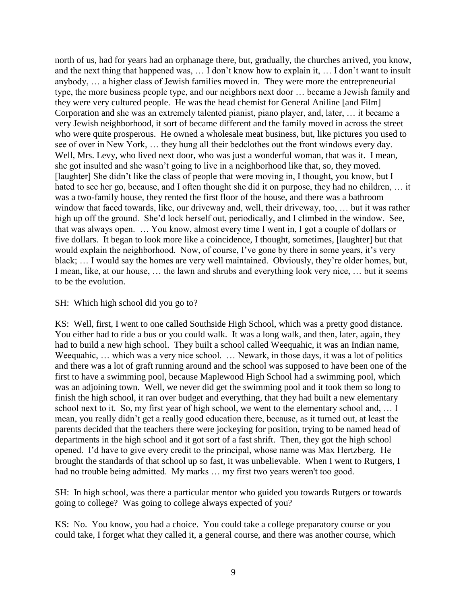north of us, had for years had an orphanage there, but, gradually, the churches arrived, you know, and the next thing that happened was, … I don't know how to explain it, … I don't want to insult anybody, … a higher class of Jewish families moved in. They were more the entrepreneurial type, the more business people type, and our neighbors next door … became a Jewish family and they were very cultured people. He was the head chemist for General Aniline [and Film] Corporation and she was an extremely talented pianist, piano player, and, later, … it became a very Jewish neighborhood, it sort of became different and the family moved in across the street who were quite prosperous. He owned a wholesale meat business, but, like pictures you used to see of over in New York, … they hung all their bedclothes out the front windows every day. Well, Mrs. Levy, who lived next door, who was just a wonderful woman, that was it. I mean, she got insulted and she wasn't going to live in a neighborhood like that, so, they moved. [laughter] She didn't like the class of people that were moving in, I thought, you know, but I hated to see her go, because, and I often thought she did it on purpose, they had no children, … it was a two-family house, they rented the first floor of the house, and there was a bathroom window that faced towards, like, our driveway and, well, their driveway, too, … but it was rather high up off the ground. She'd lock herself out, periodically, and I climbed in the window. See, that was always open. … You know, almost every time I went in, I got a couple of dollars or five dollars. It began to look more like a coincidence, I thought, sometimes, [laughter] but that would explain the neighborhood. Now, of course, I've gone by there in some years, it's very black; … I would say the homes are very well maintained. Obviously, they're older homes, but, I mean, like, at our house, … the lawn and shrubs and everything look very nice, … but it seems to be the evolution.

#### SH: Which high school did you go to?

KS: Well, first, I went to one called Southside High School, which was a pretty good distance. You either had to ride a bus or you could walk. It was a long walk, and then, later, again, they had to build a new high school. They built a school called Weequahic, it was an Indian name, Weequahic, … which was a very nice school. … Newark, in those days, it was a lot of politics and there was a lot of graft running around and the school was supposed to have been one of the first to have a swimming pool, because Maplewood High School had a swimming pool, which was an adjoining town. Well, we never did get the swimming pool and it took them so long to finish the high school, it ran over budget and everything, that they had built a new elementary school next to it. So, my first year of high school, we went to the elementary school and, … I mean, you really didn't get a really good education there, because, as it turned out, at least the parents decided that the teachers there were jockeying for position, trying to be named head of departments in the high school and it got sort of a fast shrift. Then, they got the high school opened. I'd have to give every credit to the principal, whose name was Max Hertzberg. He brought the standards of that school up so fast, it was unbelievable. When I went to Rutgers, I had no trouble being admitted. My marks ... my first two years weren't too good.

SH: In high school, was there a particular mentor who guided you towards Rutgers or towards going to college? Was going to college always expected of you?

KS: No. You know, you had a choice. You could take a college preparatory course or you could take, I forget what they called it, a general course, and there was another course, which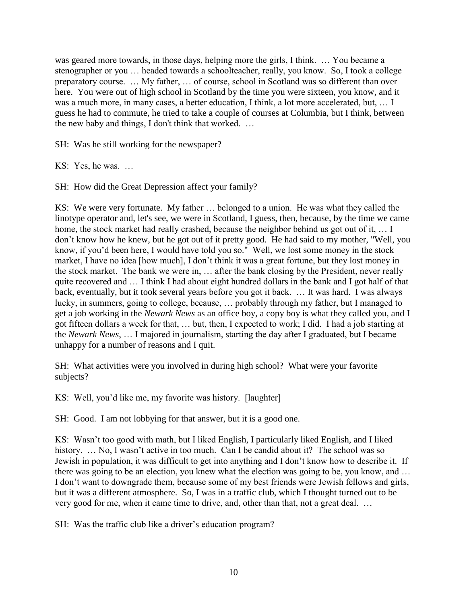was geared more towards, in those days, helping more the girls, I think. … You became a stenographer or you … headed towards a schoolteacher, really, you know. So, I took a college preparatory course. … My father, … of course, school in Scotland was so different than over here. You were out of high school in Scotland by the time you were sixteen, you know, and it was a much more, in many cases, a better education, I think, a lot more accelerated, but, … I guess he had to commute, he tried to take a couple of courses at Columbia, but I think, between the new baby and things, I don't think that worked. …

SH: Was he still working for the newspaper?

KS: Yes, he was. …

SH: How did the Great Depression affect your family?

KS: We were very fortunate. My father … belonged to a union. He was what they called the linotype operator and, let's see, we were in Scotland, I guess, then, because, by the time we came home, the stock market had really crashed, because the neighbor behind us got out of it, ... I don't know how he knew, but he got out of it pretty good. He had said to my mother, "Well, you know, if you'd been here, I would have told you so." Well, we lost some money in the stock market, I have no idea [how much], I don't think it was a great fortune, but they lost money in the stock market. The bank we were in, … after the bank closing by the President, never really quite recovered and … I think I had about eight hundred dollars in the bank and I got half of that back, eventually, but it took several years before you got it back. … It was hard. I was always lucky, in summers, going to college, because, … probably through my father, but I managed to get a job working in the *Newark News* as an office boy, a copy boy is what they called you, and I got fifteen dollars a week for that, … but, then, I expected to work; I did. I had a job starting at the *Newark News*, … I majored in journalism, starting the day after I graduated, but I became unhappy for a number of reasons and I quit.

SH: What activities were you involved in during high school? What were your favorite subjects?

KS: Well, you'd like me, my favorite was history. [laughter]

SH: Good. I am not lobbying for that answer, but it is a good one.

KS: Wasn't too good with math, but I liked English, I particularly liked English, and I liked history. ... No, I wasn't active in too much. Can I be candid about it? The school was so Jewish in population, it was difficult to get into anything and I don't know how to describe it. If there was going to be an election, you knew what the election was going to be, you know, and … I don't want to downgrade them, because some of my best friends were Jewish fellows and girls, but it was a different atmosphere. So, I was in a traffic club, which I thought turned out to be very good for me, when it came time to drive, and, other than that, not a great deal. …

SH: Was the traffic club like a driver's education program?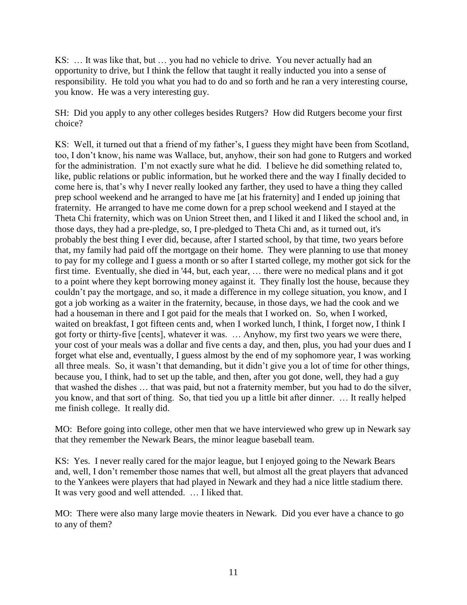KS: … It was like that, but … you had no vehicle to drive. You never actually had an opportunity to drive, but I think the fellow that taught it really inducted you into a sense of responsibility. He told you what you had to do and so forth and he ran a very interesting course, you know. He was a very interesting guy.

SH: Did you apply to any other colleges besides Rutgers? How did Rutgers become your first choice?

KS: Well, it turned out that a friend of my father's, I guess they might have been from Scotland, too, I don't know, his name was Wallace, but, anyhow, their son had gone to Rutgers and worked for the administration. I'm not exactly sure what he did. I believe he did something related to, like, public relations or public information, but he worked there and the way I finally decided to come here is, that's why I never really looked any farther, they used to have a thing they called prep school weekend and he arranged to have me [at his fraternity] and I ended up joining that fraternity. He arranged to have me come down for a prep school weekend and I stayed at the Theta Chi fraternity, which was on Union Street then, and I liked it and I liked the school and, in those days, they had a pre-pledge, so, I pre-pledged to Theta Chi and, as it turned out, it's probably the best thing I ever did, because, after I started school, by that time, two years before that, my family had paid off the mortgage on their home. They were planning to use that money to pay for my college and I guess a month or so after I started college, my mother got sick for the first time. Eventually, she died in '44, but, each year, … there were no medical plans and it got to a point where they kept borrowing money against it. They finally lost the house, because they couldn't pay the mortgage, and so, it made a difference in my college situation, you know, and I got a job working as a waiter in the fraternity, because, in those days, we had the cook and we had a houseman in there and I got paid for the meals that I worked on. So, when I worked, waited on breakfast, I got fifteen cents and, when I worked lunch, I think, I forget now, I think I got forty or thirty-five [cents], whatever it was. … Anyhow, my first two years we were there, your cost of your meals was a dollar and five cents a day, and then, plus, you had your dues and I forget what else and, eventually, I guess almost by the end of my sophomore year, I was working all three meals. So, it wasn't that demanding, but it didn't give you a lot of time for other things, because you, I think, had to set up the table, and then, after you got done, well, they had a guy that washed the dishes … that was paid, but not a fraternity member, but you had to do the silver, you know, and that sort of thing. So, that tied you up a little bit after dinner. … It really helped me finish college. It really did.

MO: Before going into college, other men that we have interviewed who grew up in Newark say that they remember the Newark Bears, the minor league baseball team.

KS: Yes. I never really cared for the major league, but I enjoyed going to the Newark Bears and, well, I don't remember those names that well, but almost all the great players that advanced to the Yankees were players that had played in Newark and they had a nice little stadium there. It was very good and well attended. … I liked that.

MO: There were also many large movie theaters in Newark. Did you ever have a chance to go to any of them?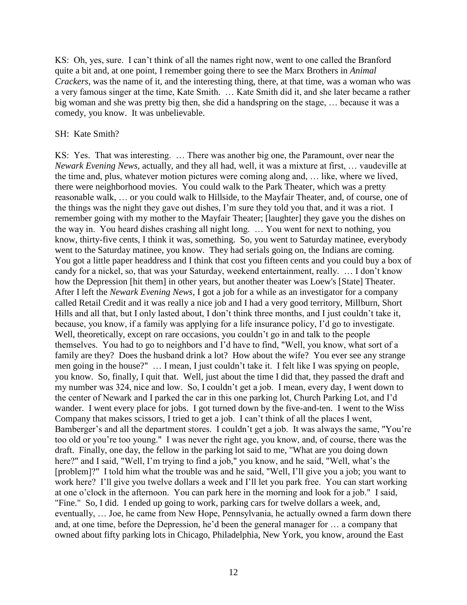KS: Oh, yes, sure. I can't think of all the names right now, went to one called the Branford quite a bit and, at one point, I remember going there to see the Marx Brothers in *Animal Crackers*, was the name of it, and the interesting thing, there, at that time, was a woman who was a very famous singer at the time, Kate Smith. … Kate Smith did it, and she later became a rather big woman and she was pretty big then, she did a handspring on the stage, … because it was a comedy, you know. It was unbelievable.

#### SH: Kate Smith?

KS: Yes. That was interesting. … There was another big one, the Paramount, over near the *Newark Evening News,* actually, and they all had, well, it was a mixture at first, … vaudeville at the time and, plus, whatever motion pictures were coming along and, … like, where we lived, there were neighborhood movies. You could walk to the Park Theater, which was a pretty reasonable walk, … or you could walk to Hillside, to the Mayfair Theater, and, of course, one of the things was the night they gave out dishes, I'm sure they told you that, and it was a riot. I remember going with my mother to the Mayfair Theater; [laughter] they gave you the dishes on the way in. You heard dishes crashing all night long. … You went for next to nothing, you know, thirty-five cents, I think it was, something. So, you went to Saturday matinee, everybody went to the Saturday matinee, you know. They had serials going on, the Indians are coming. You got a little paper headdress and I think that cost you fifteen cents and you could buy a box of candy for a nickel, so, that was your Saturday, weekend entertainment, really. … I don't know how the Depression [hit them] in other years, but another theater was Loew's [State] Theater. After I left the *Newark Evening News*, I got a job for a while as an investigator for a company called Retail Credit and it was really a nice job and I had a very good territory, Millburn, Short Hills and all that, but I only lasted about, I don't think three months, and I just couldn't take it, because, you know, if a family was applying for a life insurance policy, I'd go to investigate. Well, theoretically, except on rare occasions, you couldn't go in and talk to the people themselves. You had to go to neighbors and I'd have to find, "Well, you know, what sort of a family are they? Does the husband drink a lot? How about the wife? You ever see any strange men going in the house?" … I mean, I just couldn't take it. I felt like I was spying on people, you know. So, finally, I quit that. Well, just about the time I did that, they passed the draft and my number was 324, nice and low. So, I couldn't get a job. I mean, every day, I went down to the center of Newark and I parked the car in this one parking lot, Church Parking Lot, and I'd wander. I went every place for jobs. I got turned down by the five-and-ten. I went to the Wiss Company that makes scissors, I tried to get a job. I can't think of all the places I went, Bamberger's and all the department stores. I couldn't get a job. It was always the same, "You're too old or you're too young." I was never the right age, you know, and, of course, there was the draft. Finally, one day, the fellow in the parking lot said to me, "What are you doing down here?" and I said, "Well, I'm trying to find a job," you know, and he said, "Well, what's the [problem]?" I told him what the trouble was and he said, "Well, I'll give you a job; you want to work here? I'll give you twelve dollars a week and I'll let you park free. You can start working at one o'clock in the afternoon. You can park here in the morning and look for a job." I said, "Fine." So, I did. I ended up going to work, parking cars for twelve dollars a week, and, eventually, … Joe, he came from New Hope, Pennsylvania, he actually owned a farm down there and, at one time, before the Depression, he'd been the general manager for … a company that owned about fifty parking lots in Chicago, Philadelphia, New York, you know, around the East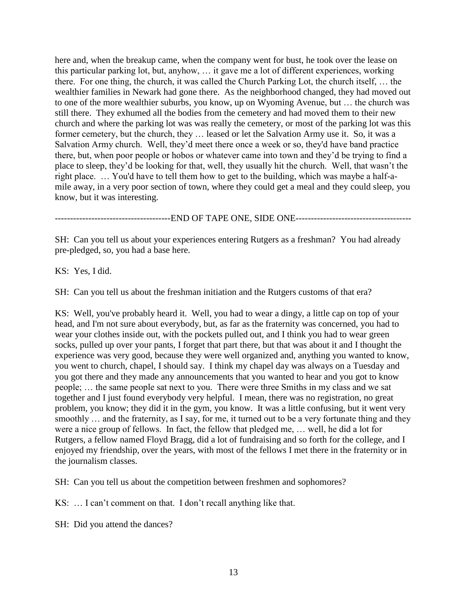here and, when the breakup came, when the company went for bust, he took over the lease on this particular parking lot, but, anyhow, … it gave me a lot of different experiences, working there. For one thing, the church, it was called the Church Parking Lot, the church itself, … the wealthier families in Newark had gone there. As the neighborhood changed, they had moved out to one of the more wealthier suburbs, you know, up on Wyoming Avenue, but … the church was still there. They exhumed all the bodies from the cemetery and had moved them to their new church and where the parking lot was was really the cemetery, or most of the parking lot was this former cemetery, but the church, they … leased or let the Salvation Army use it. So, it was a Salvation Army church. Well, they'd meet there once a week or so, they'd have band practice there, but, when poor people or hobos or whatever came into town and they'd be trying to find a place to sleep, they'd be looking for that, well, they usually hit the church. Well, that wasn't the right place. … You'd have to tell them how to get to the building, which was maybe a half-amile away, in a very poor section of town, where they could get a meal and they could sleep, you know, but it was interesting.

--------------------------------------END OF TAPE ONE, SIDE ONE--------------------------------------

SH: Can you tell us about your experiences entering Rutgers as a freshman? You had already pre-pledged, so, you had a base here.

KS: Yes, I did.

SH: Can you tell us about the freshman initiation and the Rutgers customs of that era?

KS: Well, you've probably heard it. Well, you had to wear a dingy, a little cap on top of your head, and I'm not sure about everybody, but, as far as the fraternity was concerned, you had to wear your clothes inside out, with the pockets pulled out, and I think you had to wear green socks, pulled up over your pants, I forget that part there, but that was about it and I thought the experience was very good, because they were well organized and, anything you wanted to know, you went to church, chapel, I should say. I think my chapel day was always on a Tuesday and you got there and they made any announcements that you wanted to hear and you got to know people; … the same people sat next to you. There were three Smiths in my class and we sat together and I just found everybody very helpful. I mean, there was no registration, no great problem, you know; they did it in the gym, you know. It was a little confusing, but it went very smoothly ... and the fraternity, as I say, for me, it turned out to be a very fortunate thing and they were a nice group of fellows. In fact, the fellow that pledged me, … well, he did a lot for Rutgers, a fellow named Floyd Bragg, did a lot of fundraising and so forth for the college, and I enjoyed my friendship, over the years, with most of the fellows I met there in the fraternity or in the journalism classes.

SH: Can you tell us about the competition between freshmen and sophomores?

KS: … I can't comment on that. I don't recall anything like that.

SH: Did you attend the dances?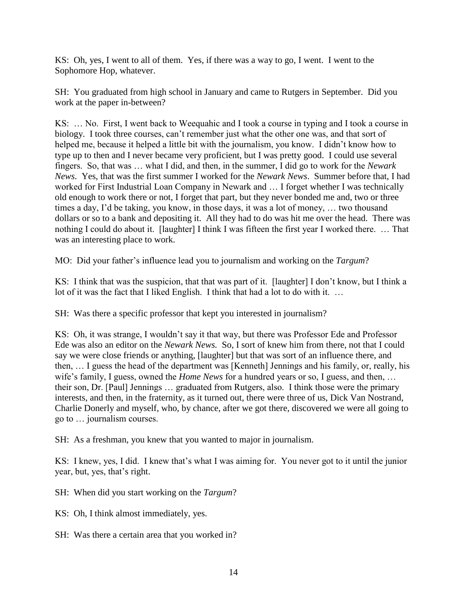KS: Oh, yes, I went to all of them. Yes, if there was a way to go, I went. I went to the Sophomore Hop, whatever.

SH: You graduated from high school in January and came to Rutgers in September. Did you work at the paper in-between?

KS: … No. First, I went back to Weequahic and I took a course in typing and I took a course in biology. I took three courses, can't remember just what the other one was, and that sort of helped me, because it helped a little bit with the journalism, you know. I didn't know how to type up to then and I never became very proficient, but I was pretty good. I could use several fingers. So, that was … what I did, and then, in the summer, I did go to work for the *Newark News*. Yes, that was the first summer I worked for the *Newark News*. Summer before that, I had worked for First Industrial Loan Company in Newark and … I forget whether I was technically old enough to work there or not, I forget that part, but they never bonded me and, two or three times a day, I'd be taking, you know, in those days, it was a lot of money, … two thousand dollars or so to a bank and depositing it. All they had to do was hit me over the head. There was nothing I could do about it. [laughter] I think I was fifteen the first year I worked there. … That was an interesting place to work.

MO: Did your father's influence lead you to journalism and working on the *Targum*?

KS: I think that was the suspicion, that that was part of it. [laughter] I don't know, but I think a lot of it was the fact that I liked English. I think that had a lot to do with it. …

SH: Was there a specific professor that kept you interested in journalism?

KS: Oh, it was strange, I wouldn't say it that way, but there was Professor Ede and Professor Ede was also an editor on the *Newark News.* So, I sort of knew him from there, not that I could say we were close friends or anything, [laughter] but that was sort of an influence there, and then, … I guess the head of the department was [Kenneth] Jennings and his family, or, really, his wife's family, I guess, owned the *Home News* for a hundred years or so, I guess, and then, … their son, Dr. [Paul] Jennings … graduated from Rutgers, also. I think those were the primary interests, and then, in the fraternity, as it turned out, there were three of us, Dick Van Nostrand, Charlie Donerly and myself, who, by chance, after we got there, discovered we were all going to go to … journalism courses.

SH: As a freshman, you knew that you wanted to major in journalism.

KS: I knew, yes, I did. I knew that's what I was aiming for. You never got to it until the junior year, but, yes, that's right.

SH: When did you start working on the *Targum*?

KS: Oh, I think almost immediately, yes.

SH: Was there a certain area that you worked in?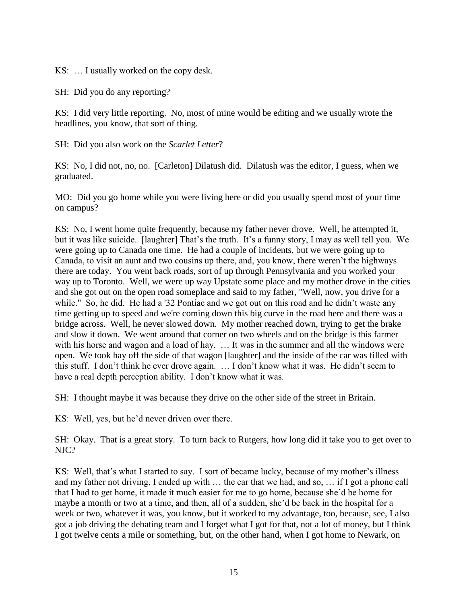KS: … I usually worked on the copy desk.

SH: Did you do any reporting?

KS: I did very little reporting. No, most of mine would be editing and we usually wrote the headlines, you know, that sort of thing.

SH: Did you also work on the *Scarlet Letter*?

KS: No, I did not, no, no. [Carleton] Dilatush did. Dilatush was the editor, I guess, when we graduated.

MO: Did you go home while you were living here or did you usually spend most of your time on campus?

KS: No, I went home quite frequently, because my father never drove. Well, he attempted it, but it was like suicide. [laughter] That's the truth. It's a funny story, I may as well tell you. We were going up to Canada one time. He had a couple of incidents, but we were going up to Canada, to visit an aunt and two cousins up there, and, you know, there weren't the highways there are today. You went back roads, sort of up through Pennsylvania and you worked your way up to Toronto. Well, we were up way Upstate some place and my mother drove in the cities and she got out on the open road someplace and said to my father, "Well, now, you drive for a while." So, he did. He had a '32 Pontiac and we got out on this road and he didn't waste any time getting up to speed and we're coming down this big curve in the road here and there was a bridge across. Well, he never slowed down. My mother reached down, trying to get the brake and slow it down. We went around that corner on two wheels and on the bridge is this farmer with his horse and wagon and a load of hay. ... It was in the summer and all the windows were open. We took hay off the side of that wagon [laughter] and the inside of the car was filled with this stuff. I don't think he ever drove again. … I don't know what it was. He didn't seem to have a real depth perception ability. I don't know what it was.

SH: I thought maybe it was because they drive on the other side of the street in Britain.

KS: Well, yes, but he'd never driven over there.

SH: Okay. That is a great story. To turn back to Rutgers, how long did it take you to get over to NJC?

KS: Well, that's what I started to say. I sort of became lucky, because of my mother's illness and my father not driving, I ended up with … the car that we had, and so, … if I got a phone call that I had to get home, it made it much easier for me to go home, because she'd be home for maybe a month or two at a time, and then, all of a sudden, she'd be back in the hospital for a week or two, whatever it was, you know, but it worked to my advantage, too, because, see, I also got a job driving the debating team and I forget what I got for that, not a lot of money, but I think I got twelve cents a mile or something, but, on the other hand, when I got home to Newark, on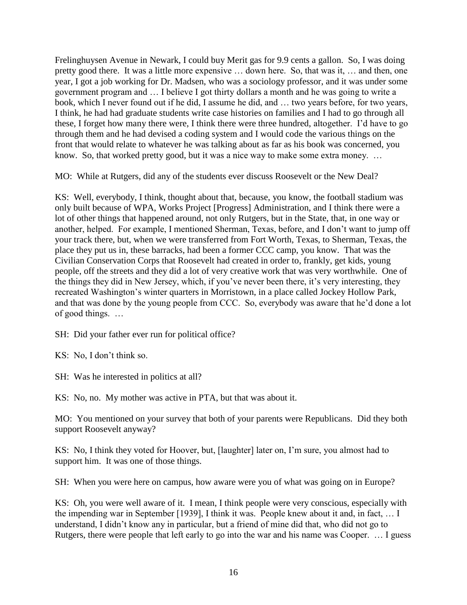Frelinghuysen Avenue in Newark, I could buy Merit gas for 9.9 cents a gallon. So, I was doing pretty good there. It was a little more expensive … down here. So, that was it, … and then, one year, I got a job working for Dr. Madsen, who was a sociology professor, and it was under some government program and … I believe I got thirty dollars a month and he was going to write a book, which I never found out if he did, I assume he did, and … two years before, for two years, I think, he had had graduate students write case histories on families and I had to go through all these, I forget how many there were, I think there were three hundred, altogether. I'd have to go through them and he had devised a coding system and I would code the various things on the front that would relate to whatever he was talking about as far as his book was concerned, you know. So, that worked pretty good, but it was a nice way to make some extra money. …

MO: While at Rutgers, did any of the students ever discuss Roosevelt or the New Deal?

KS: Well, everybody, I think, thought about that, because, you know, the football stadium was only built because of WPA, Works Project [Progress] Administration, and I think there were a lot of other things that happened around, not only Rutgers, but in the State, that, in one way or another, helped. For example, I mentioned Sherman, Texas, before, and I don't want to jump off your track there, but, when we were transferred from Fort Worth, Texas, to Sherman, Texas, the place they put us in, these barracks, had been a former CCC camp, you know. That was the Civilian Conservation Corps that Roosevelt had created in order to, frankly, get kids, young people, off the streets and they did a lot of very creative work that was very worthwhile. One of the things they did in New Jersey, which, if you've never been there, it's very interesting, they recreated Washington's winter quarters in Morristown, in a place called Jockey Hollow Park, and that was done by the young people from CCC. So, everybody was aware that he'd done a lot of good things. …

SH: Did your father ever run for political office?

KS: No, I don't think so.

SH: Was he interested in politics at all?

KS: No, no. My mother was active in PTA, but that was about it.

MO: You mentioned on your survey that both of your parents were Republicans. Did they both support Roosevelt anyway?

KS: No, I think they voted for Hoover, but, [laughter] later on, I'm sure, you almost had to support him. It was one of those things.

SH: When you were here on campus, how aware were you of what was going on in Europe?

KS: Oh, you were well aware of it. I mean, I think people were very conscious, especially with the impending war in September [1939], I think it was. People knew about it and, in fact, … I understand, I didn't know any in particular, but a friend of mine did that, who did not go to Rutgers, there were people that left early to go into the war and his name was Cooper. … I guess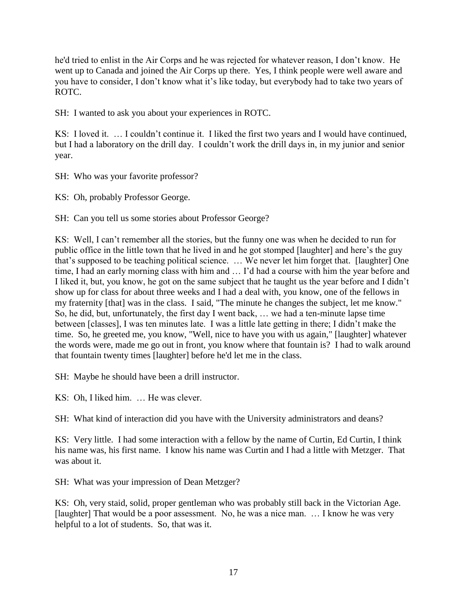he'd tried to enlist in the Air Corps and he was rejected for whatever reason, I don't know. He went up to Canada and joined the Air Corps up there. Yes, I think people were well aware and you have to consider, I don't know what it's like today, but everybody had to take two years of ROTC.

SH: I wanted to ask you about your experiences in ROTC.

KS: I loved it. … I couldn't continue it. I liked the first two years and I would have continued, but I had a laboratory on the drill day. I couldn't work the drill days in, in my junior and senior year.

SH: Who was your favorite professor?

KS: Oh, probably Professor George.

SH: Can you tell us some stories about Professor George?

KS: Well, I can't remember all the stories, but the funny one was when he decided to run for public office in the little town that he lived in and he got stomped [laughter] and here's the guy that's supposed to be teaching political science. … We never let him forget that. [laughter] One time, I had an early morning class with him and … I'd had a course with him the year before and I liked it, but, you know, he got on the same subject that he taught us the year before and I didn't show up for class for about three weeks and I had a deal with, you know, one of the fellows in my fraternity [that] was in the class. I said, "The minute he changes the subject, let me know." So, he did, but, unfortunately, the first day I went back, … we had a ten-minute lapse time between [classes], I was ten minutes late. I was a little late getting in there; I didn't make the time. So, he greeted me, you know, "Well, nice to have you with us again," [laughter] whatever the words were, made me go out in front, you know where that fountain is? I had to walk around that fountain twenty times [laughter] before he'd let me in the class.

SH: Maybe he should have been a drill instructor.

KS: Oh, I liked him. … He was clever.

SH: What kind of interaction did you have with the University administrators and deans?

KS: Very little. I had some interaction with a fellow by the name of Curtin, Ed Curtin, I think his name was, his first name. I know his name was Curtin and I had a little with Metzger. That was about it.

SH: What was your impression of Dean Metzger?

KS: Oh, very staid, solid, proper gentleman who was probably still back in the Victorian Age. [laughter] That would be a poor assessment. No, he was a nice man. ... I know he was very helpful to a lot of students. So, that was it.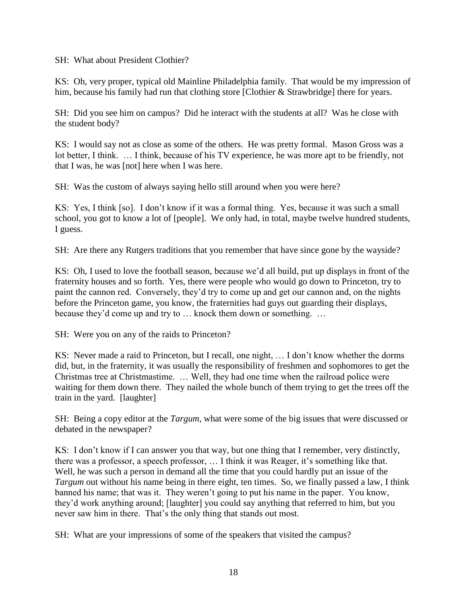SH: What about President Clothier?

KS: Oh, very proper, typical old Mainline Philadelphia family. That would be my impression of him, because his family had run that clothing store [Clothier & Strawbridge] there for years.

SH: Did you see him on campus? Did he interact with the students at all? Was he close with the student body?

KS: I would say not as close as some of the others. He was pretty formal. Mason Gross was a lot better, I think. … I think, because of his TV experience, he was more apt to be friendly, not that I was, he was [not] here when I was here.

SH: Was the custom of always saying hello still around when you were here?

KS: Yes, I think [so]. I don't know if it was a formal thing. Yes, because it was such a small school, you got to know a lot of [people]. We only had, in total, maybe twelve hundred students, I guess.

SH: Are there any Rutgers traditions that you remember that have since gone by the wayside?

KS: Oh, I used to love the football season, because we'd all build, put up displays in front of the fraternity houses and so forth. Yes, there were people who would go down to Princeton, try to paint the cannon red. Conversely, they'd try to come up and get our cannon and, on the nights before the Princeton game, you know, the fraternities had guys out guarding their displays, because they'd come up and try to … knock them down or something. …

SH: Were you on any of the raids to Princeton?

KS: Never made a raid to Princeton, but I recall, one night, … I don't know whether the dorms did, but, in the fraternity, it was usually the responsibility of freshmen and sophomores to get the Christmas tree at Christmastime. … Well, they had one time when the railroad police were waiting for them down there. They nailed the whole bunch of them trying to get the trees off the train in the yard. [laughter]

SH: Being a copy editor at the *Targum*, what were some of the big issues that were discussed or debated in the newspaper?

KS: I don't know if I can answer you that way, but one thing that I remember, very distinctly, there was a professor, a speech professor, … I think it was Reager, it's something like that. Well, he was such a person in demand all the time that you could hardly put an issue of the *Targum* out without his name being in there eight, ten times. So, we finally passed a law, I think banned his name; that was it. They weren't going to put his name in the paper. You know, they'd work anything around; [laughter] you could say anything that referred to him, but you never saw him in there. That's the only thing that stands out most.

SH: What are your impressions of some of the speakers that visited the campus?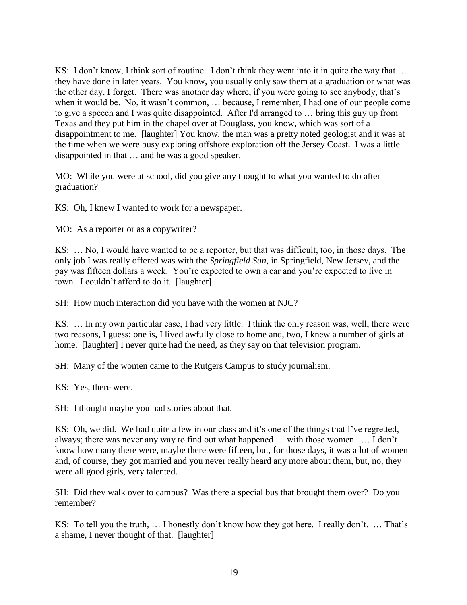KS: I don't know, I think sort of routine. I don't think they went into it in quite the way that … they have done in later years. You know, you usually only saw them at a graduation or what was the other day, I forget. There was another day where, if you were going to see anybody, that's when it would be. No, it wasn't common, … because, I remember, I had one of our people come to give a speech and I was quite disappointed. After I'd arranged to … bring this guy up from Texas and they put him in the chapel over at Douglass, you know, which was sort of a disappointment to me. [laughter] You know, the man was a pretty noted geologist and it was at the time when we were busy exploring offshore exploration off the Jersey Coast. I was a little disappointed in that … and he was a good speaker.

MO: While you were at school, did you give any thought to what you wanted to do after graduation?

KS: Oh, I knew I wanted to work for a newspaper.

MO: As a reporter or as a copywriter?

KS: … No, I would have wanted to be a reporter, but that was difficult, too, in those days. The only job I was really offered was with the *Springfield Sun*, in Springfield, New Jersey, and the pay was fifteen dollars a week. You're expected to own a car and you're expected to live in town. I couldn't afford to do it. [laughter]

SH: How much interaction did you have with the women at NJC?

KS: … In my own particular case, I had very little. I think the only reason was, well, there were two reasons, I guess; one is, I lived awfully close to home and, two, I knew a number of girls at home. [laughter] I never quite had the need, as they say on that television program.

SH: Many of the women came to the Rutgers Campus to study journalism.

KS: Yes, there were.

SH: I thought maybe you had stories about that.

KS: Oh, we did. We had quite a few in our class and it's one of the things that I've regretted, always; there was never any way to find out what happened … with those women. … I don't know how many there were, maybe there were fifteen, but, for those days, it was a lot of women and, of course, they got married and you never really heard any more about them, but, no, they were all good girls, very talented.

SH: Did they walk over to campus? Was there a special bus that brought them over? Do you remember?

KS: To tell you the truth, … I honestly don't know how they got here. I really don't. … That's a shame, I never thought of that. [laughter]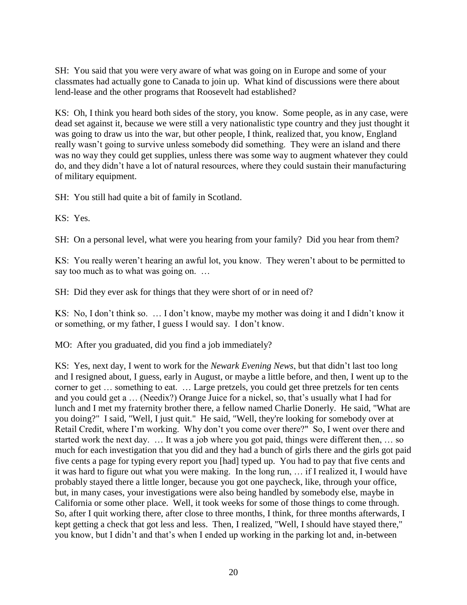SH: You said that you were very aware of what was going on in Europe and some of your classmates had actually gone to Canada to join up. What kind of discussions were there about lend-lease and the other programs that Roosevelt had established?

KS: Oh, I think you heard both sides of the story, you know. Some people, as in any case, were dead set against it, because we were still a very nationalistic type country and they just thought it was going to draw us into the war, but other people, I think, realized that, you know, England really wasn't going to survive unless somebody did something. They were an island and there was no way they could get supplies, unless there was some way to augment whatever they could do, and they didn't have a lot of natural resources, where they could sustain their manufacturing of military equipment.

SH: You still had quite a bit of family in Scotland.

KS: Yes.

SH: On a personal level, what were you hearing from your family? Did you hear from them?

KS: You really weren't hearing an awful lot, you know. They weren't about to be permitted to say too much as to what was going on. ...

SH: Did they ever ask for things that they were short of or in need of?

KS: No, I don't think so. … I don't know, maybe my mother was doing it and I didn't know it or something, or my father, I guess I would say. I don't know.

MO: After you graduated, did you find a job immediately?

KS: Yes, next day, I went to work for the *Newark Evening News*, but that didn't last too long and I resigned about, I guess, early in August, or maybe a little before, and then, I went up to the corner to get … something to eat. … Large pretzels, you could get three pretzels for ten cents and you could get a … (Needix?) Orange Juice for a nickel, so, that's usually what I had for lunch and I met my fraternity brother there, a fellow named Charlie Donerly. He said, "What are you doing?" I said, "Well, I just quit." He said, "Well, they're looking for somebody over at Retail Credit, where I'm working. Why don't you come over there?" So, I went over there and started work the next day. … It was a job where you got paid, things were different then, … so much for each investigation that you did and they had a bunch of girls there and the girls got paid five cents a page for typing every report you [had] typed up. You had to pay that five cents and it was hard to figure out what you were making. In the long run, … if I realized it, I would have probably stayed there a little longer, because you got one paycheck, like, through your office, but, in many cases, your investigations were also being handled by somebody else, maybe in California or some other place. Well, it took weeks for some of those things to come through. So, after I quit working there, after close to three months, I think, for three months afterwards, I kept getting a check that got less and less. Then, I realized, "Well, I should have stayed there," you know, but I didn't and that's when I ended up working in the parking lot and, in-between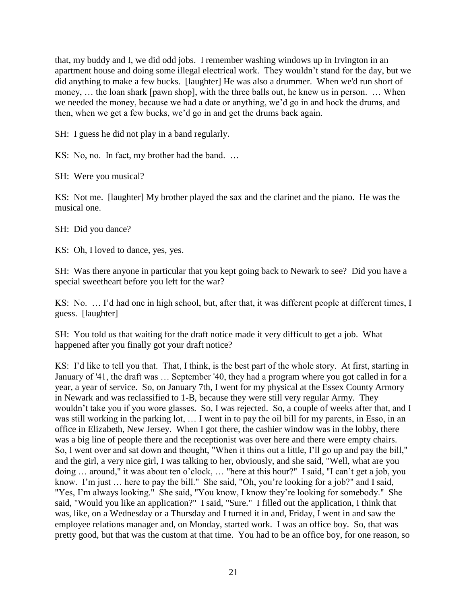that, my buddy and I, we did odd jobs. I remember washing windows up in Irvington in an apartment house and doing some illegal electrical work. They wouldn't stand for the day, but we did anything to make a few bucks. [laughter] He was also a drummer. When we'd run short of money, … the loan shark [pawn shop], with the three balls out, he knew us in person. … When we needed the money, because we had a date or anything, we'd go in and hock the drums, and then, when we get a few bucks, we'd go in and get the drums back again.

SH: I guess he did not play in a band regularly.

KS: No, no. In fact, my brother had the band. …

SH: Were you musical?

KS: Not me. [laughter] My brother played the sax and the clarinet and the piano. He was the musical one.

SH: Did you dance?

KS: Oh, I loved to dance, yes, yes.

SH: Was there anyone in particular that you kept going back to Newark to see? Did you have a special sweetheart before you left for the war?

KS: No. … I'd had one in high school, but, after that, it was different people at different times, I guess. [laughter]

SH: You told us that waiting for the draft notice made it very difficult to get a job. What happened after you finally got your draft notice?

KS: I'd like to tell you that. That, I think, is the best part of the whole story. At first, starting in January of '41, the draft was … September '40, they had a program where you got called in for a year, a year of service. So, on January 7th, I went for my physical at the Essex County Armory in Newark and was reclassified to 1-B, because they were still very regular Army. They wouldn't take you if you wore glasses. So, I was rejected. So, a couple of weeks after that, and I was still working in the parking lot, … I went in to pay the oil bill for my parents, in Esso, in an office in Elizabeth, New Jersey. When I got there, the cashier window was in the lobby, there was a big line of people there and the receptionist was over here and there were empty chairs. So, I went over and sat down and thought, "When it thins out a little, I'll go up and pay the bill," and the girl, a very nice girl, I was talking to her, obviously, and she said, "Well, what are you doing … around," it was about ten o'clock, … "here at this hour?" I said, "I can't get a job, you know. I'm just … here to pay the bill." She said, "Oh, you're looking for a job?" and I said, "Yes, I'm always looking." She said, "You know, I know they're looking for somebody." She said, "Would you like an application?" I said, "Sure." I filled out the application, I think that was, like, on a Wednesday or a Thursday and I turned it in and, Friday, I went in and saw the employee relations manager and, on Monday, started work. I was an office boy. So, that was pretty good, but that was the custom at that time. You had to be an office boy, for one reason, so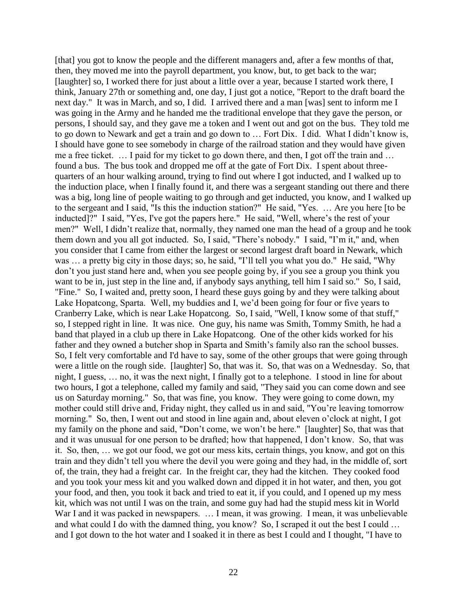[that] you got to know the people and the different managers and, after a few months of that, then, they moved me into the payroll department, you know, but, to get back to the war; [laughter] so, I worked there for just about a little over a year, because I started work there, I think, January 27th or something and, one day, I just got a notice, "Report to the draft board the next day." It was in March, and so, I did. I arrived there and a man [was] sent to inform me I was going in the Army and he handed me the traditional envelope that they gave the person, or persons, I should say, and they gave me a token and I went out and got on the bus. They told me to go down to Newark and get a train and go down to … Fort Dix. I did. What I didn't know is, I should have gone to see somebody in charge of the railroad station and they would have given me a free ticket. … I paid for my ticket to go down there, and then, I got off the train and … found a bus. The bus took and dropped me off at the gate of Fort Dix. I spent about threequarters of an hour walking around, trying to find out where I got inducted, and I walked up to the induction place, when I finally found it, and there was a sergeant standing out there and there was a big, long line of people waiting to go through and get inducted, you know, and I walked up to the sergeant and I said, "Is this the induction station?" He said, "Yes. … Are you here [to be inducted]?" I said, "Yes, I've got the papers here." He said, "Well, where's the rest of your men?" Well, I didn't realize that, normally, they named one man the head of a group and he took them down and you all got inducted. So, I said, "There's nobody." I said, "I'm it," and, when you consider that I came from either the largest or second largest draft board in Newark, which was ... a pretty big city in those days; so, he said, "I'll tell you what you do." He said, "Why don't you just stand here and, when you see people going by, if you see a group you think you want to be in, just step in the line and, if anybody says anything, tell him I said so." So, I said, "Fine." So, I waited and, pretty soon, I heard these guys going by and they were talking about Lake Hopatcong, Sparta. Well, my buddies and I, we'd been going for four or five years to Cranberry Lake, which is near Lake Hopatcong. So, I said, "Well, I know some of that stuff," so, I stepped right in line. It was nice. One guy, his name was Smith, Tommy Smith, he had a band that played in a club up there in Lake Hopatcong. One of the other kids worked for his father and they owned a butcher shop in Sparta and Smith's family also ran the school busses. So, I felt very comfortable and I'd have to say, some of the other groups that were going through were a little on the rough side. [laughter] So, that was it. So, that was on a Wednesday. So, that night, I guess, … no, it was the next night, I finally got to a telephone. I stood in line for about two hours, I got a telephone, called my family and said, "They said you can come down and see us on Saturday morning." So, that was fine, you know. They were going to come down, my mother could still drive and, Friday night, they called us in and said, "You're leaving tomorrow morning." So, then, I went out and stood in line again and, about eleven o'clock at night, I got my family on the phone and said, "Don't come, we won't be here." [laughter] So, that was that and it was unusual for one person to be drafted; how that happened, I don't know. So, that was it. So, then, … we got our food, we got our mess kits, certain things, you know, and got on this train and they didn't tell you where the devil you were going and they had, in the middle of, sort of, the train, they had a freight car. In the freight car, they had the kitchen. They cooked food and you took your mess kit and you walked down and dipped it in hot water, and then, you got your food, and then, you took it back and tried to eat it, if you could, and I opened up my mess kit, which was not until I was on the train, and some guy had had the stupid mess kit in World War I and it was packed in newspapers. ... I mean, it was growing. I mean, it was unbelievable and what could I do with the damned thing, you know? So, I scraped it out the best I could … and I got down to the hot water and I soaked it in there as best I could and I thought, "I have to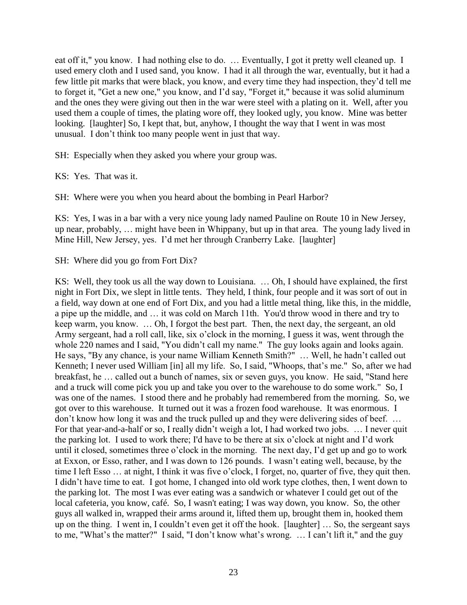eat off it," you know. I had nothing else to do. … Eventually, I got it pretty well cleaned up. I used emery cloth and I used sand, you know. I had it all through the war, eventually, but it had a few little pit marks that were black, you know, and every time they had inspection, they'd tell me to forget it, "Get a new one," you know, and I'd say, "Forget it," because it was solid aluminum and the ones they were giving out then in the war were steel with a plating on it. Well, after you used them a couple of times, the plating wore off, they looked ugly, you know. Mine was better looking. [laughter] So, I kept that, but, anyhow, I thought the way that I went in was most unusual. I don't think too many people went in just that way.

SH: Especially when they asked you where your group was.

KS: Yes. That was it.

SH: Where were you when you heard about the bombing in Pearl Harbor?

KS: Yes, I was in a bar with a very nice young lady named Pauline on Route 10 in New Jersey, up near, probably, … might have been in Whippany, but up in that area. The young lady lived in Mine Hill, New Jersey, yes. I'd met her through Cranberry Lake. [laughter]

SH: Where did you go from Fort Dix?

KS: Well, they took us all the way down to Louisiana. … Oh, I should have explained, the first night in Fort Dix, we slept in little tents. They held, I think, four people and it was sort of out in a field, way down at one end of Fort Dix, and you had a little metal thing, like this, in the middle, a pipe up the middle, and … it was cold on March 11th. You'd throw wood in there and try to keep warm, you know. … Oh, I forgot the best part. Then, the next day, the sergeant, an old Army sergeant, had a roll call, like, six o'clock in the morning, I guess it was, went through the whole 220 names and I said, "You didn't call my name." The guy looks again and looks again. He says, "By any chance, is your name William Kenneth Smith?" … Well, he hadn't called out Kenneth; I never used William [in] all my life. So, I said, "Whoops, that's me." So, after we had breakfast, he … called out a bunch of names, six or seven guys, you know. He said, "Stand here and a truck will come pick you up and take you over to the warehouse to do some work." So, I was one of the names. I stood there and he probably had remembered from the morning. So, we got over to this warehouse. It turned out it was a frozen food warehouse. It was enormous. I don't know how long it was and the truck pulled up and they were delivering sides of beef. … For that year-and-a-half or so, I really didn't weigh a lot, I had worked two jobs. … I never quit the parking lot. I used to work there; I'd have to be there at six o'clock at night and I'd work until it closed, sometimes three o'clock in the morning. The next day, I'd get up and go to work at Exxon, or Esso, rather, and I was down to 126 pounds. I wasn't eating well, because, by the time I left Esso … at night, I think it was five o'clock, I forget, no, quarter of five, they quit then. I didn't have time to eat. I got home, I changed into old work type clothes, then, I went down to the parking lot. The most I was ever eating was a sandwich or whatever I could get out of the local cafeteria, you know, café. So, I wasn't eating; I was way down, you know. So, the other guys all walked in, wrapped their arms around it, lifted them up, brought them in, hooked them up on the thing. I went in, I couldn't even get it off the hook. [laughter] … So, the sergeant says to me, "What's the matter?" I said, "I don't know what's wrong. … I can't lift it," and the guy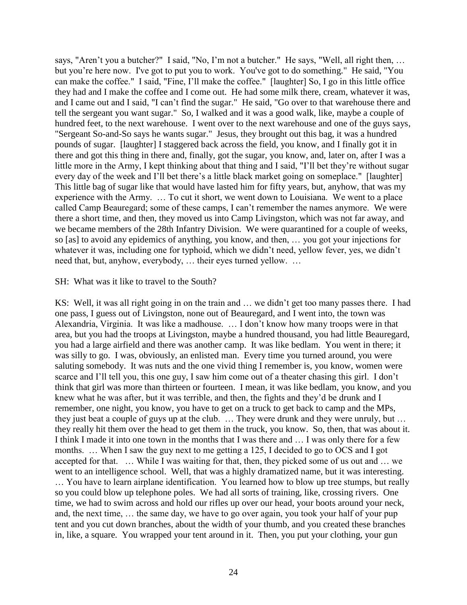says, "Aren't you a butcher?" I said, "No, I'm not a butcher." He says, "Well, all right then, ... but you're here now. I've got to put you to work. You've got to do something." He said, "You can make the coffee." I said, "Fine, I'll make the coffee." [laughter] So, I go in this little office they had and I make the coffee and I come out. He had some milk there, cream, whatever it was, and I came out and I said, "I can't find the sugar." He said, "Go over to that warehouse there and tell the sergeant you want sugar." So, I walked and it was a good walk, like, maybe a couple of hundred feet, to the next warehouse. I went over to the next warehouse and one of the guys says, "Sergeant So-and-So says he wants sugar." Jesus, they brought out this bag, it was a hundred pounds of sugar. [laughter] I staggered back across the field, you know, and I finally got it in there and got this thing in there and, finally, got the sugar, you know, and, later on, after I was a little more in the Army, I kept thinking about that thing and I said, "I'll bet they're without sugar every day of the week and I'll bet there's a little black market going on someplace." [laughter] This little bag of sugar like that would have lasted him for fifty years, but, anyhow, that was my experience with the Army. … To cut it short, we went down to Louisiana. We went to a place called Camp Beauregard; some of these camps, I can't remember the names anymore. We were there a short time, and then, they moved us into Camp Livingston, which was not far away, and we became members of the 28th Infantry Division. We were quarantined for a couple of weeks, so [as] to avoid any epidemics of anything, you know, and then, … you got your injections for whatever it was, including one for typhoid, which we didn't need, yellow fever, yes, we didn't need that, but, anyhow, everybody, … their eyes turned yellow. …

#### SH: What was it like to travel to the South?

KS: Well, it was all right going in on the train and … we didn't get too many passes there. I had one pass, I guess out of Livingston, none out of Beauregard, and I went into, the town was Alexandria, Virginia. It was like a madhouse. … I don't know how many troops were in that area, but you had the troops at Livingston, maybe a hundred thousand, you had little Beauregard, you had a large airfield and there was another camp. It was like bedlam. You went in there; it was silly to go. I was, obviously, an enlisted man. Every time you turned around, you were saluting somebody. It was nuts and the one vivid thing I remember is, you know, women were scarce and I'll tell you, this one guy, I saw him come out of a theater chasing this girl. I don't think that girl was more than thirteen or fourteen. I mean, it was like bedlam, you know, and you knew what he was after, but it was terrible, and then, the fights and they'd be drunk and I remember, one night, you know, you have to get on a truck to get back to camp and the MPs, they just beat a couple of guys up at the club. … They were drunk and they were unruly, but … they really hit them over the head to get them in the truck, you know. So, then, that was about it. I think I made it into one town in the months that I was there and … I was only there for a few months. … When I saw the guy next to me getting a 125, I decided to go to OCS and I got accepted for that. … While I was waiting for that, then, they picked some of us out and … we went to an intelligence school. Well, that was a highly dramatized name, but it was interesting. … You have to learn airplane identification. You learned how to blow up tree stumps, but really so you could blow up telephone poles. We had all sorts of training, like, crossing rivers. One time, we had to swim across and hold our rifles up over our head, your boots around your neck, and, the next time, … the same day, we have to go over again, you took your half of your pup tent and you cut down branches, about the width of your thumb, and you created these branches in, like, a square. You wrapped your tent around in it. Then, you put your clothing, your gun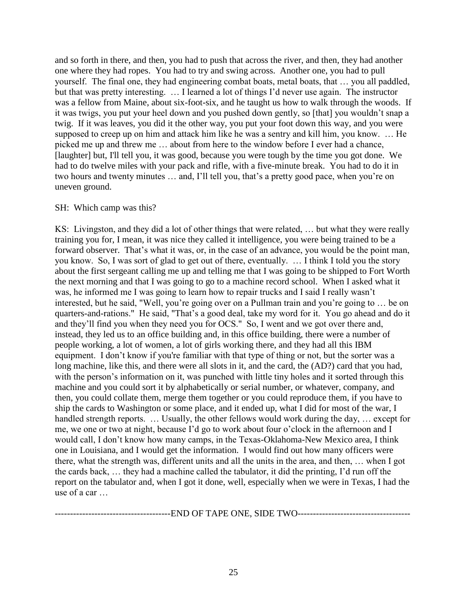and so forth in there, and then, you had to push that across the river, and then, they had another one where they had ropes. You had to try and swing across. Another one, you had to pull yourself. The final one, they had engineering combat boats, metal boats, that … you all paddled, but that was pretty interesting. … I learned a lot of things I'd never use again. The instructor was a fellow from Maine, about six-foot-six, and he taught us how to walk through the woods. If it was twigs, you put your heel down and you pushed down gently, so [that] you wouldn't snap a twig. If it was leaves, you did it the other way, you put your foot down this way, and you were supposed to creep up on him and attack him like he was a sentry and kill him, you know. … He picked me up and threw me … about from here to the window before I ever had a chance, [laughter] but, I'll tell you, it was good, because you were tough by the time you got done. We had to do twelve miles with your pack and rifle, with a five-minute break. You had to do it in two hours and twenty minutes … and, I'll tell you, that's a pretty good pace, when you're on uneven ground.

## SH: Which camp was this?

KS: Livingston, and they did a lot of other things that were related, … but what they were really training you for, I mean, it was nice they called it intelligence, you were being trained to be a forward observer. That's what it was, or, in the case of an advance, you would be the point man, you know. So, I was sort of glad to get out of there, eventually. … I think I told you the story about the first sergeant calling me up and telling me that I was going to be shipped to Fort Worth the next morning and that I was going to go to a machine record school. When I asked what it was, he informed me I was going to learn how to repair trucks and I said I really wasn't interested, but he said, "Well, you're going over on a Pullman train and you're going to … be on quarters-and-rations." He said, "That's a good deal, take my word for it. You go ahead and do it and they'll find you when they need you for OCS." So, I went and we got over there and, instead, they led us to an office building and, in this office building, there were a number of people working, a lot of women, a lot of girls working there, and they had all this IBM equipment. I don't know if you're familiar with that type of thing or not, but the sorter was a long machine, like this, and there were all slots in it, and the card, the (AD?) card that you had, with the person's information on it, was punched with little tiny holes and it sorted through this machine and you could sort it by alphabetically or serial number, or whatever, company, and then, you could collate them, merge them together or you could reproduce them, if you have to ship the cards to Washington or some place, and it ended up, what I did for most of the war, I handled strength reports. ... Usually, the other fellows would work during the day, ... except for me, we one or two at night, because I'd go to work about four o'clock in the afternoon and I would call, I don't know how many camps, in the Texas-Oklahoma-New Mexico area, I think one in Louisiana, and I would get the information. I would find out how many officers were there, what the strength was, different units and all the units in the area, and then, … when I got the cards back, … they had a machine called the tabulator, it did the printing, I'd run off the report on the tabulator and, when I got it done, well, especially when we were in Texas, I had the use of a car …

| ж.                      | <b></b> |
|-------------------------|---------|
| $\overline{\mathbf{v}}$ | W       |
|                         |         |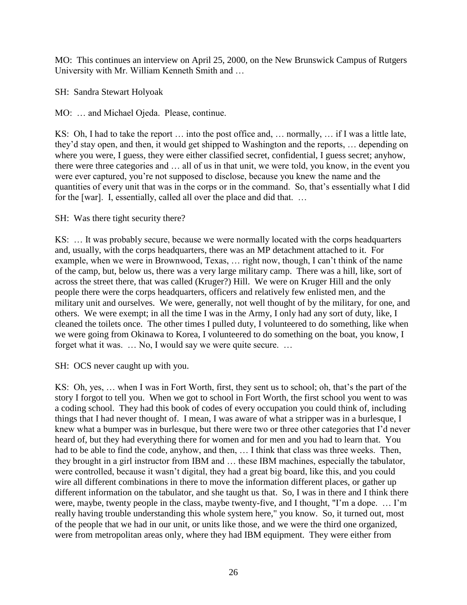MO: This continues an interview on April 25, 2000, on the New Brunswick Campus of Rutgers University with Mr. William Kenneth Smith and …

SH: Sandra Stewart Holyoak

MO: … and Michael Ojeda. Please, continue.

KS: Oh, I had to take the report … into the post office and, … normally, … if I was a little late, they'd stay open, and then, it would get shipped to Washington and the reports, … depending on where you were, I guess, they were either classified secret, confidential, I guess secret; anyhow, there were three categories and … all of us in that unit, we were told, you know, in the event you were ever captured, you're not supposed to disclose, because you knew the name and the quantities of every unit that was in the corps or in the command. So, that's essentially what I did for the [war]. I, essentially, called all over the place and did that. …

SH: Was there tight security there?

KS: … It was probably secure, because we were normally located with the corps headquarters and, usually, with the corps headquarters, there was an MP detachment attached to it. For example, when we were in Brownwood, Texas, … right now, though, I can't think of the name of the camp, but, below us, there was a very large military camp. There was a hill, like, sort of across the street there, that was called (Kruger?) Hill. We were on Kruger Hill and the only people there were the corps headquarters, officers and relatively few enlisted men, and the military unit and ourselves. We were, generally, not well thought of by the military, for one, and others. We were exempt; in all the time I was in the Army, I only had any sort of duty, like, I cleaned the toilets once. The other times I pulled duty, I volunteered to do something, like when we were going from Okinawa to Korea, I volunteered to do something on the boat, you know, I forget what it was. … No, I would say we were quite secure. …

SH: OCS never caught up with you.

KS: Oh, yes, … when I was in Fort Worth, first, they sent us to school; oh, that's the part of the story I forgot to tell you. When we got to school in Fort Worth, the first school you went to was a coding school. They had this book of codes of every occupation you could think of, including things that I had never thought of. I mean, I was aware of what a stripper was in a burlesque, I knew what a bumper was in burlesque, but there were two or three other categories that I'd never heard of, but they had everything there for women and for men and you had to learn that. You had to be able to find the code, anyhow, and then, ... I think that class was three weeks. Then, they brought in a girl instructor from IBM and … these IBM machines, especially the tabulator, were controlled, because it wasn't digital, they had a great big board, like this, and you could wire all different combinations in there to move the information different places, or gather up different information on the tabulator, and she taught us that. So, I was in there and I think there were, maybe, twenty people in the class, maybe twenty-five, and I thought, "I'm a dope. … I'm really having trouble understanding this whole system here," you know. So, it turned out, most of the people that we had in our unit, or units like those, and we were the third one organized, were from metropolitan areas only, where they had IBM equipment. They were either from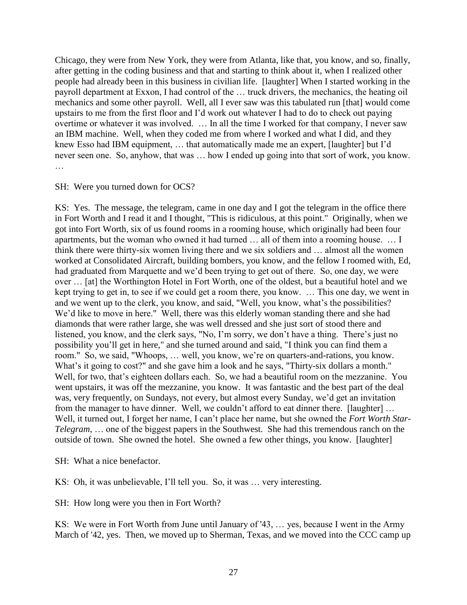Chicago, they were from New York, they were from Atlanta, like that, you know, and so, finally, after getting in the coding business and that and starting to think about it, when I realized other people had already been in this business in civilian life. [laughter] When I started working in the payroll department at Exxon, I had control of the … truck drivers, the mechanics, the heating oil mechanics and some other payroll. Well, all I ever saw was this tabulated run [that] would come upstairs to me from the first floor and I'd work out whatever I had to do to check out paying overtime or whatever it was involved. … In all the time I worked for that company, I never saw an IBM machine. Well, when they coded me from where I worked and what I did, and they knew Esso had IBM equipment, … that automatically made me an expert, [laughter] but I'd never seen one. So, anyhow, that was … how I ended up going into that sort of work, you know. …

#### SH: Were you turned down for OCS?

KS: Yes. The message, the telegram, came in one day and I got the telegram in the office there in Fort Worth and I read it and I thought, "This is ridiculous, at this point." Originally, when we got into Fort Worth, six of us found rooms in a rooming house, which originally had been four apartments, but the woman who owned it had turned … all of them into a rooming house. … I think there were thirty-six women living there and we six soldiers and … almost all the women worked at Consolidated Aircraft, building bombers, you know, and the fellow I roomed with, Ed, had graduated from Marquette and we'd been trying to get out of there. So, one day, we were over … [at] the Worthington Hotel in Fort Worth, one of the oldest, but a beautiful hotel and we kept trying to get in, to see if we could get a room there, you know. … This one day, we went in and we went up to the clerk, you know, and said, "Well, you know, what's the possibilities? We'd like to move in here." Well, there was this elderly woman standing there and she had diamonds that were rather large, she was well dressed and she just sort of stood there and listened, you know, and the clerk says, "No, I'm sorry, we don't have a thing. There's just no possibility you'll get in here," and she turned around and said, "I think you can find them a room." So, we said, "Whoops, … well, you know, we're on quarters-and-rations, you know. What's it going to cost?" and she gave him a look and he says, "Thirty-six dollars a month." Well, for two, that's eighteen dollars each. So, we had a beautiful room on the mezzanine. You went upstairs, it was off the mezzanine, you know. It was fantastic and the best part of the deal was, very frequently, on Sundays, not every, but almost every Sunday, we'd get an invitation from the manager to have dinner. Well, we couldn't afford to eat dinner there. [laughter] ... Well, it turned out, I forget her name, I can't place her name, but she owned the *Fort Worth Star*-*Telegram*, … one of the biggest papers in the Southwest. She had this tremendous ranch on the outside of town. She owned the hotel. She owned a few other things, you know. [laughter]

SH: What a nice benefactor.

KS: Oh, it was unbelievable, I'll tell you. So, it was … very interesting.

SH: How long were you then in Fort Worth?

KS: We were in Fort Worth from June until January of '43, … yes, because I went in the Army March of '42, yes. Then, we moved up to Sherman, Texas, and we moved into the CCC camp up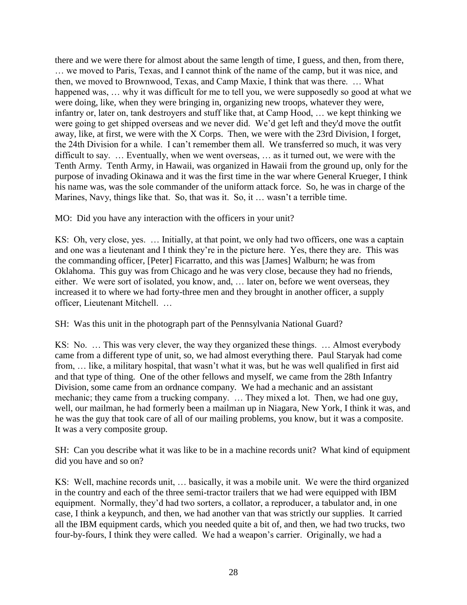there and we were there for almost about the same length of time, I guess, and then, from there, … we moved to Paris, Texas, and I cannot think of the name of the camp, but it was nice, and then, we moved to Brownwood, Texas, and Camp Maxie, I think that was there. … What happened was, ... why it was difficult for me to tell you, we were supposedly so good at what we were doing, like, when they were bringing in, organizing new troops, whatever they were, infantry or, later on, tank destroyers and stuff like that, at Camp Hood, … we kept thinking we were going to get shipped overseas and we never did. We'd get left and they'd move the outfit away, like, at first, we were with the X Corps. Then, we were with the 23rd Division, I forget, the 24th Division for a while. I can't remember them all. We transferred so much, it was very difficult to say. … Eventually, when we went overseas, … as it turned out, we were with the Tenth Army. Tenth Army, in Hawaii, was organized in Hawaii from the ground up, only for the purpose of invading Okinawa and it was the first time in the war where General Krueger, I think his name was, was the sole commander of the uniform attack force. So, he was in charge of the Marines, Navy, things like that. So, that was it. So, it ... wasn't a terrible time.

MO: Did you have any interaction with the officers in your unit?

KS: Oh, very close, yes. … Initially, at that point, we only had two officers, one was a captain and one was a lieutenant and I think they're in the picture here. Yes, there they are. This was the commanding officer, [Peter] Ficarratto, and this was [James] Walburn; he was from Oklahoma. This guy was from Chicago and he was very close, because they had no friends, either. We were sort of isolated, you know, and, … later on, before we went overseas, they increased it to where we had forty-three men and they brought in another officer, a supply officer, Lieutenant Mitchell. …

SH: Was this unit in the photograph part of the Pennsylvania National Guard?

KS: No. … This was very clever, the way they organized these things. … Almost everybody came from a different type of unit, so, we had almost everything there. Paul Staryak had come from, … like, a military hospital, that wasn't what it was, but he was well qualified in first aid and that type of thing. One of the other fellows and myself, we came from the 28th Infantry Division, some came from an ordnance company. We had a mechanic and an assistant mechanic; they came from a trucking company. … They mixed a lot. Then, we had one guy, well, our mailman, he had formerly been a mailman up in Niagara, New York, I think it was, and he was the guy that took care of all of our mailing problems, you know, but it was a composite. It was a very composite group.

SH: Can you describe what it was like to be in a machine records unit? What kind of equipment did you have and so on?

KS: Well, machine records unit, … basically, it was a mobile unit. We were the third organized in the country and each of the three semi-tractor trailers that we had were equipped with IBM equipment. Normally, they'd had two sorters, a collator, a reproducer, a tabulator and, in one case, I think a keypunch, and then, we had another van that was strictly our supplies. It carried all the IBM equipment cards, which you needed quite a bit of, and then, we had two trucks, two four-by-fours, I think they were called. We had a weapon's carrier. Originally, we had a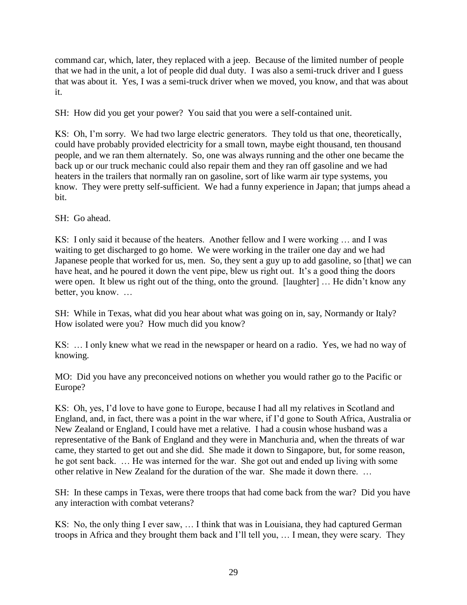command car, which, later, they replaced with a jeep. Because of the limited number of people that we had in the unit, a lot of people did dual duty. I was also a semi-truck driver and I guess that was about it. Yes, I was a semi-truck driver when we moved, you know, and that was about it.

SH: How did you get your power? You said that you were a self-contained unit.

KS: Oh, I'm sorry. We had two large electric generators. They told us that one, theoretically, could have probably provided electricity for a small town, maybe eight thousand, ten thousand people, and we ran them alternately. So, one was always running and the other one became the back up or our truck mechanic could also repair them and they ran off gasoline and we had heaters in the trailers that normally ran on gasoline, sort of like warm air type systems, you know. They were pretty self-sufficient. We had a funny experience in Japan; that jumps ahead a bit.

SH: Go ahead.

KS: I only said it because of the heaters. Another fellow and I were working … and I was waiting to get discharged to go home. We were working in the trailer one day and we had Japanese people that worked for us, men. So, they sent a guy up to add gasoline, so [that] we can have heat, and he poured it down the vent pipe, blew us right out. It's a good thing the doors were open. It blew us right out of the thing, onto the ground. [laughter] … He didn't know any better, you know. …

SH: While in Texas, what did you hear about what was going on in, say, Normandy or Italy? How isolated were you? How much did you know?

KS: … I only knew what we read in the newspaper or heard on a radio. Yes, we had no way of knowing.

MO: Did you have any preconceived notions on whether you would rather go to the Pacific or Europe?

KS: Oh, yes, I'd love to have gone to Europe, because I had all my relatives in Scotland and England, and, in fact, there was a point in the war where, if I'd gone to South Africa, Australia or New Zealand or England, I could have met a relative. I had a cousin whose husband was a representative of the Bank of England and they were in Manchuria and, when the threats of war came, they started to get out and she did. She made it down to Singapore, but, for some reason, he got sent back. … He was interned for the war. She got out and ended up living with some other relative in New Zealand for the duration of the war. She made it down there. …

SH: In these camps in Texas, were there troops that had come back from the war? Did you have any interaction with combat veterans?

KS: No, the only thing I ever saw, … I think that was in Louisiana, they had captured German troops in Africa and they brought them back and I'll tell you, … I mean, they were scary. They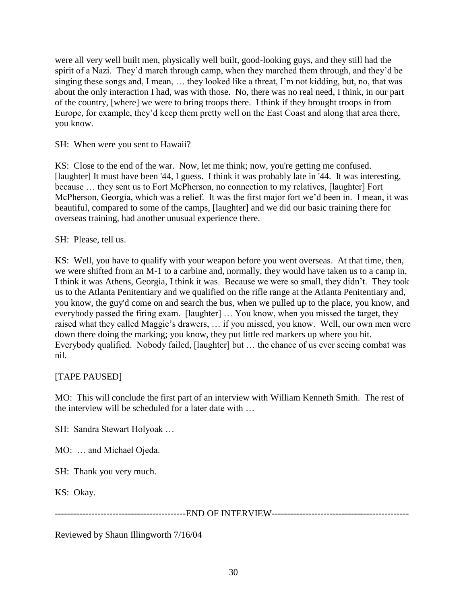were all very well built men, physically well built, good-looking guys, and they still had the spirit of a Nazi. They'd march through camp, when they marched them through, and they'd be singing these songs and, I mean, … they looked like a threat, I'm not kidding, but, no, that was about the only interaction I had, was with those. No, there was no real need, I think, in our part of the country, [where] we were to bring troops there. I think if they brought troops in from Europe, for example, they'd keep them pretty well on the East Coast and along that area there, you know.

SH: When were you sent to Hawaii?

KS: Close to the end of the war. Now, let me think; now, you're getting me confused. [laughter] It must have been '44, I guess. I think it was probably late in '44. It was interesting, because … they sent us to Fort McPherson, no connection to my relatives, [laughter] Fort McPherson, Georgia, which was a relief. It was the first major fort we'd been in. I mean, it was beautiful, compared to some of the camps, [laughter] and we did our basic training there for overseas training, had another unusual experience there.

SH: Please, tell us.

KS: Well, you have to qualify with your weapon before you went overseas. At that time, then, we were shifted from an M-1 to a carbine and, normally, they would have taken us to a camp in, I think it was Athens, Georgia, I think it was. Because we were so small, they didn't. They took us to the Atlanta Penitentiary and we qualified on the rifle range at the Atlanta Penitentiary and, you know, the guy'd come on and search the bus, when we pulled up to the place, you know, and everybody passed the firing exam. [laughter] ... You know, when you missed the target, they raised what they called Maggie's drawers, … if you missed, you know. Well, our own men were down there doing the marking; you know, they put little red markers up where you hit. Everybody qualified. Nobody failed, [laughter] but … the chance of us ever seeing combat was nil.

## [TAPE PAUSED]

MO: This will conclude the first part of an interview with William Kenneth Smith. The rest of the interview will be scheduled for a later date with …

SH: Sandra Stewart Holyoak …

MO: … and Michael Ojeda.

SH: Thank you very much.

KS: Okay.

-------------------------------------------END OF INTERVIEW---------------------------------------------

Reviewed by Shaun Illingworth 7/16/04